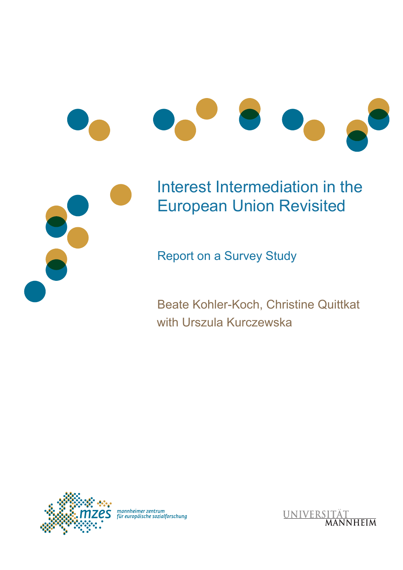



# Interest Intermediation in the European Union Revisited

Report on a Survey Study

Beate Kohler-Koch, Christine Quittkat with Urszula Kurczewska



mannheimer zentrum<br>für europäische sozialforschung

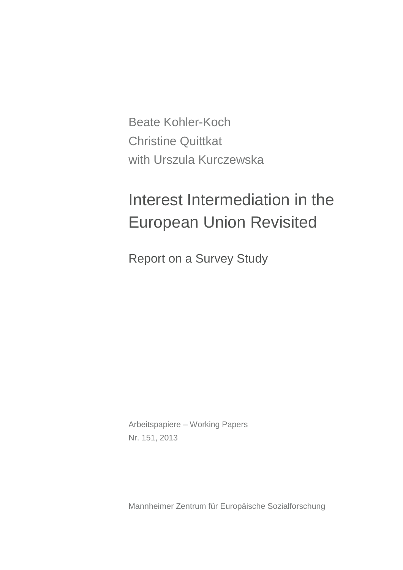Beate Kohler-Koch Christine Quittkat with Urszula Kurczewska

# Interest Intermediation in the European Union Revisited

Report on a Survey Study

Arbeitspapiere – Working Papers Nr. 151, 2013

Mannheimer Zentrum für Europäische Sozialforschung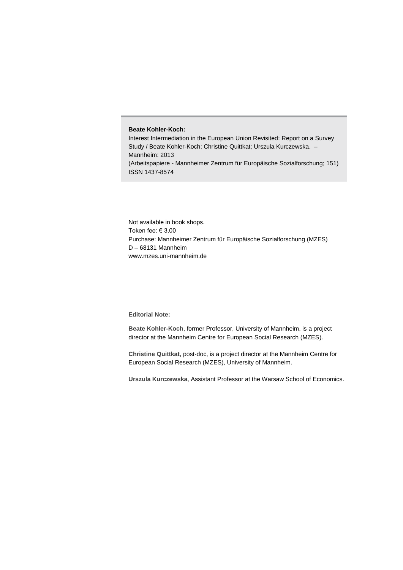#### **Beate Kohler-Koch:**

Interest Intermediation in the European Union Revisited: Report on a Survey Study / Beate Kohler-Koch; Christine Quittkat; Urszula Kurczewska. – Mannheim: 2013 (Arbeitspapiere - Mannheimer Zentrum für Europäische Sozialforschung; 151) ISSN 1437-8574

Not available in book shops. Token fee: € 3,00 Purchase: Mannheimer Zentrum für Europäische Sozialforschung (MZES) D – 68131 Mannheim www.mzes.uni-mannheim.de

#### **Editorial Note:**

**Beate Kohler-Koch**, former Professor, University of Mannheim, is a project director at the Mannheim Centre for European Social Research (MZES).

**Christine Quittkat**, post-doc, is a project director at the Mannheim Centre for European Social Research (MZES), University of Mannheim.

**Urszula Kurczewska**, Assistant Professor at the Warsaw School of Economics.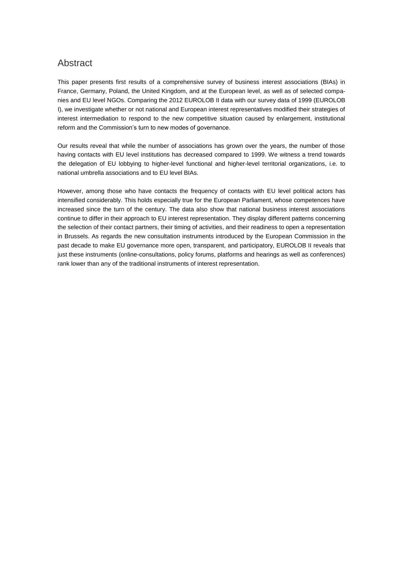#### Abstract

This paper presents first results of a comprehensive survey of business interest associations (BIAs) in France, Germany, Poland, the United Kingdom, and at the European level, as well as of selected companies and EU level NGOs. Comparing the 2012 EUROLOB II data with our survey data of 1999 (EUROLOB I), we investigate whether or not national and European interest representatives modified their strategies of interest intermediation to respond to the new competitive situation caused by enlargement, institutional reform and the Commission's turn to new modes of governance.

Our results reveal that while the number of associations has grown over the years, the number of those having contacts with EU level institutions has decreased compared to 1999. We witness a trend towards the delegation of EU lobbying to higher-level functional and higher-level territorial organizations, i.e. to national umbrella associations and to EU level BIAs.

However, among those who have contacts the frequency of contacts with EU level political actors has intensified considerably. This holds especially true for the European Parliament, whose competences have increased since the turn of the century. The data also show that national business interest associations continue to differ in their approach to EU interest representation. They display different patterns concerning the selection of their contact partners, their timing of activities, and their readiness to open a representation in Brussels. As regards the new consultation instruments introduced by the European Commission in the past decade to make EU governance more open, transparent, and participatory, EUROLOB II reveals that just these instruments (online-consultations, policy forums, platforms and hearings as well as conferences) rank lower than any of the traditional instruments of interest representation.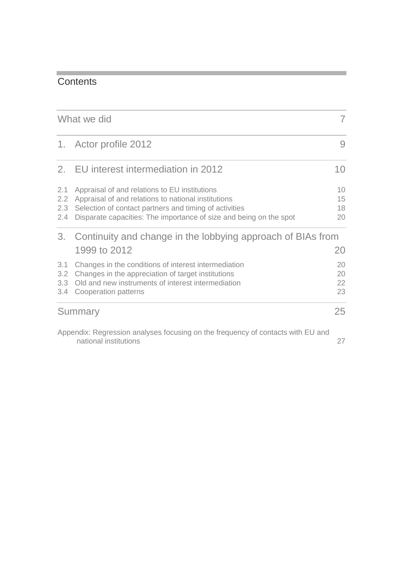# **Contents**

|                          | What we did                                                                                                                                                                                                                          | 7                    |
|--------------------------|--------------------------------------------------------------------------------------------------------------------------------------------------------------------------------------------------------------------------------------|----------------------|
|                          | 1. Actor profile 2012                                                                                                                                                                                                                | 9                    |
| 2.                       | EU interest intermediation in 2012                                                                                                                                                                                                   | 10                   |
| 2.1<br>2.2<br>2.3<br>2.4 | Appraisal of and relations to EU institutions<br>Appraisal of and relations to national institutions<br>Selection of contact partners and timing of activities<br>Disparate capacities: The importance of size and being on the spot | 10<br>15<br>18<br>20 |
| 3.                       | Continuity and change in the lobbying approach of BIAs from                                                                                                                                                                          |                      |
|                          | 1999 to 2012                                                                                                                                                                                                                         | 20                   |
| 3.1<br>3.2<br>3.3<br>3.4 | Changes in the conditions of interest intermediation<br>Changes in the appreciation of target institutions<br>Old and new instruments of interest intermediation<br>Cooperation patterns                                             | 20<br>20<br>22<br>23 |
|                          | Summary                                                                                                                                                                                                                              | 25                   |
|                          | Appendix: Pearcesian analyses focusing on the frequency of contacts with ELL and                                                                                                                                                     |                      |

[Appendix: Regression analyses focusing on the frequency of contacts with EU and](#page-27-0)  [national institutions](#page-27-0) 27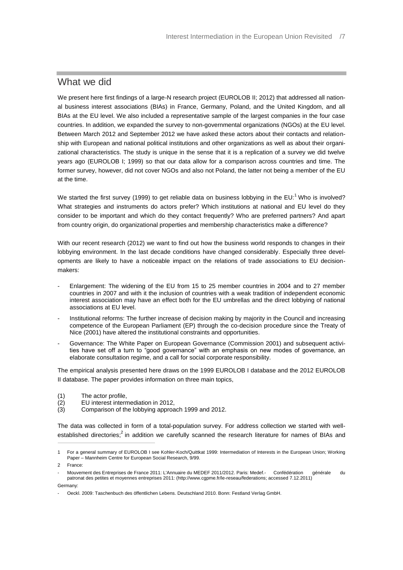#### <span id="page-7-0"></span>What we did

We present here first findings of a large-N research project (EUROLOB II; 2012) that addressed all national business interest associations (BIAs) in France, Germany, Poland, and the United Kingdom, and all BIAs at the EU level. We also included a representative sample of the largest companies in the four case countries. In addition, we expanded the survey to non-governmental organizations (NGOs) at the EU level. Between March 2012 and September 2012 we have asked these actors about their contacts and relationship with European and national political institutions and other organizations as well as about their organizational characteristics. The study is unique in the sense that it is a replication of a survey we did twelve years ago (EUROLOB I; 1999) so that our data allow for a comparison across countries and time. The former survey, however, did not cover NGOs and also not Poland, the latter not being a member of the EU at the time.

We started the first survey (1999) to get reliable data on business lobbying in the  $EU:$ <sup>1</sup> Who is involved? What strategies and instruments do actors prefer? Which institutions at national and EU level do they consider to be important and which do they contact frequently? Who are preferred partners? And apart from country origin, do organizational properties and membership characteristics make a difference?

With our recent research (2012) we want to find out how the business world responds to changes in their lobbying environment. In the last decade conditions have changed considerably. Especially three developments are likely to have a noticeable impact on the relations of trade associations to EU decisionmakers:

- Enlargement: The widening of the EU from 15 to 25 member countries in 2004 and to 27 member countries in 2007 and with it the inclusion of countries with a weak tradition of independent economic interest association may have an effect both for the EU umbrellas and the direct lobbying of national associations at EU level.
- Institutional reforms: The further increase of decision making by majority in the Council and increasing competence of the European Parliament (EP) through the co-decision procedure since the Treaty of Nice (2001) have altered the institutional constraints and opportunities.
- Governance: The White Paper on European Governance (Commission 2001) and subsequent activities have set off a turn to "good governance" with an emphasis on new modes of governance, an elaborate consultation regime, and a call for social corporate responsibility.

The empirical analysis presented here draws on the 1999 EUROLOB I database and the 2012 EUROLOB II database. The paper provides information on three main topics,

- 
- (1) The actor profile,<br>
(2) EU interest intern<br>
(3) Comparison of th EU interest intermediation in 2012,
- Comparison of the lobbying approach 1999 and 2012.

The data was collected in form of a total-population survey. For address collection we started with wellestablished directories;<sup>2</sup> in addition we carefully scanned the research literature for names of BIAs and

 $\overline{a}$ 

<sup>1</sup> For a general summary of EUROLOB I see Kohler-Koch/Quittkat 1999: Intermediation of Interests in the European Union; Working Paper – Mannheim Centre for European Social Research, 9/99.

<sup>2</sup> France:

<sup>-</sup> Mouvement des Entreprises de France 2011: L'Annuaire du MEDEF 2011/2012. Paris: Medef.- Confédération générale du patronat des petites et moyennes entreprises 2011: (http://www.cgpme.fr/le-reseau/federations; accessed 7.12.2011) Germany:

<sup>-</sup> Oeckl. 2009: Taschenbuch des öffentlichen Lebens. Deutschland 2010. Bonn: Festland Verlag GmbH.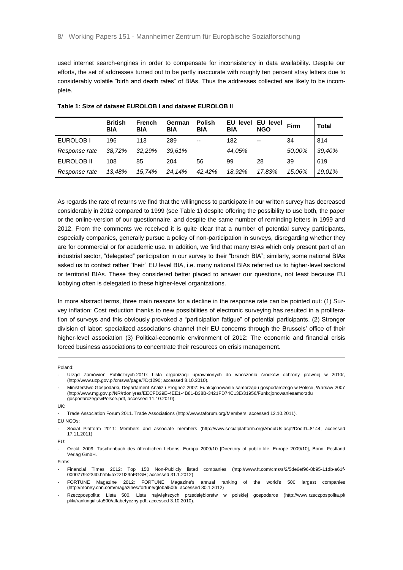used internet search-engines in order to compensate for inconsistency in data availability. Despite our efforts, the set of addresses turned out to be partly inaccurate with roughly ten percent stray letters due to considerably volatile "birth and death rates" of BIAs. Thus the addresses collected are likely to be incomplete.

|               | <b>British</b><br><b>BIA</b> | <b>French</b><br><b>BIA</b> | German<br><b>BIA</b> | <b>Polish</b><br><b>BIA</b> | EU level<br><b>BIA</b> | EU level<br><b>NGO</b> | Firm   | <b>Total</b> |
|---------------|------------------------------|-----------------------------|----------------------|-----------------------------|------------------------|------------------------|--------|--------------|
| EUROLOB I     | 196                          | 113                         | 289                  | $-$                         | 182                    | $- -$                  | 34     | 814          |
| Response rate | 38,72%                       | 32.29%                      | 39.61%               |                             | 44,05%                 |                        | 50,00% | 39.40%       |
| EUROLOB II    | 108                          | 85                          | 204                  | 56                          | 99                     | 28                     | 39     | 619          |
| Response rate | 13,48%                       | 15,74%                      | 24,14%               | 42,42%                      | 18.92%                 | 17.83%                 | 15.06% | 19,01%       |

<span id="page-8-0"></span>**Table 1: Size of dataset EUROLOB I and dataset EUROLOB II** 

As regards the rate of returns we find that the willingness to participate in our written survey has decreased considerably in 2012 compared to 1999 (see [Table 1\)](#page-8-0) despite offering the possibility to use both, the paper or the online-version of our questionnaire, and despite the same number of reminding letters in 1999 and 2012. From the comments we received it is quite clear that a number of potential survey participants, especially companies, generally pursue a policy of non-participation in surveys, disregarding whether they are for commercial or for academic use. In addition, we find that many BIAs which only present part of an industrial sector, "delegated" participation in our survey to their "branch BIA"; similarly, some national BIAs asked us to contact rather "their" EU level BIA, i.e. many national BIAs referred us to higher-level sectoral or territorial BIAs. These they considered better placed to answer our questions, not least because EU lobbying often is delegated to these higher-level organizations.

In more abstract terms, three main reasons for a decline in the response rate can be pointed out: (1) Survey inflation: Cost reduction thanks to new possibilities of electronic surveying has resulted in a proliferation of surveys and this obviously provoked a "participation fatigue" of potential participants. (2) Stronger division of labor: specialized associations channel their EU concerns through the Brussels' office of their higher-level association (3) Political-economic environment of 2012: The economic and financial crisis forced business associations to concentrate their resources on crisis management.

#### Poland:

-

EU NGOs:

EU:

Firms:

- Financial Times 2012: Top 150 Non-Publicly listed companies (http://www.ft.com/cms/s/2/5de6ef96-8b95-11db-a61f-0000779e2340.html#axzz1l29nFGGH; accessed 31.1.2012)
- FORTUNE Magazine 2012: FORTUNE Magazine's annual ranking of the world's 500 largest companies (http://money.cnn.com/magazines/fortune/global500/; accessed 30.1.2012)
- Rzeczpospolita: Lista 500. Lista największych przedsiębiorstw w polskiej gospodarce (http://www.rzeczpospolita.pl/ pliki/rankingi/lista500/alfabetyczny.pdf; accessed 3.10.2010).

<sup>-</sup> Urząd Zamówień Publicznych 2010: Lista organizacji uprawnionych do wnoszenia środków ochrony prawnej w 2010r, (http://www.uzp.gov.pl/cmsws/page/?D;1290; accessed 8.10.2010).

<sup>-</sup> Ministerstwo Gospodarki, Departament Analiz i Prognoz 2007: Funkcjonowanie samorządu gospodarczego w Polsce, Warsaw 2007 (http://www.mg.gov.pl/NR/rdonlyres/EECFD29E-4EE1-4B81-B38B-3421FD74C13E/31956/Funkcjonowaniesamorzdu gospodarczegowPolsce.pdf, accessed 11.10.2010).

UK:

<sup>-</sup> Trade Association Forum 2011. Trade Associations (http://www.taforum.org/Members; accessed 12.10.2011).

<sup>-</sup> Social Platform 2011: Members and associate members (http://www.socialplatform.org/AboutUs.asp?DocID=8144; accessed 17.11.2011)

<sup>-</sup> Oeckl. 2009: Taschenbuch des öffentlichen Lebens. Europa 2009/10 [Directory of public life. Europe 2009/10], Bonn: Festland Verlag GmbH.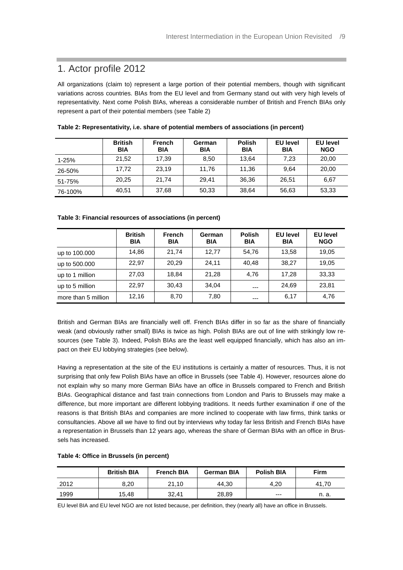# <span id="page-9-0"></span>1. Actor profile 2012

All organizations (claim to) represent a large portion of their potential members, though with significant variations across countries. BIAs from the EU level and from Germany stand out with very high levels of representativity. Next come Polish BIAs, whereas a considerable number of British and French BIAs only represent a part of their potential members (see [Table 2\)](#page-9-1)

|         | <b>British</b><br><b>BIA</b> | <b>French</b><br><b>BIA</b> | German<br><b>BIA</b> | <b>Polish</b><br><b>BIA</b> | <b>EU level</b><br><b>BIA</b> | <b>EU level</b><br><b>NGO</b> |
|---------|------------------------------|-----------------------------|----------------------|-----------------------------|-------------------------------|-------------------------------|
| 1-25%   | 21,52                        | 17,39                       | 8,50                 | 13,64                       | 7,23                          | 20,00                         |
| 26-50%  | 17,72                        | 23.19                       | 11,76                | 11.36                       | 9,64                          | 20,00                         |
| 51-75%  | 20,25                        | 21,74                       | 29.41                | 36,36                       | 26,51                         | 6,67                          |
| 76-100% | 40,51                        | 37,68                       | 50,33                | 38,64                       | 56,63                         | 53,33                         |

<span id="page-9-1"></span>**Table 2: Representativity, i.e. share of potential members of associations (in percent)**

<span id="page-9-2"></span>

| Table 3: Financial resources of associations (in percent) |  |  |  |  |
|-----------------------------------------------------------|--|--|--|--|
|-----------------------------------------------------------|--|--|--|--|

|                     | <b>British</b><br><b>BIA</b> | <b>French</b><br><b>BIA</b> | German<br><b>BIA</b> | <b>Polish</b><br><b>BIA</b> | <b>EU level</b><br><b>BIA</b> | <b>EU level</b><br><b>NGO</b> |
|---------------------|------------------------------|-----------------------------|----------------------|-----------------------------|-------------------------------|-------------------------------|
| up to 100.000       | 14,86                        | 21,74                       | 12.77                | 54,76                       | 13,58                         | 19,05                         |
| up to 500.000       | 22.97                        | 20.29                       | 24.11                | 40.48                       | 38.27                         | 19,05                         |
| up to 1 million     | 27,03                        | 18.84                       | 21.28                | 4.76                        | 17.28                         | 33,33                         |
| up to 5 million     | 22.97                        | 30.43                       | 34.04                | $---$                       | 24.69                         | 23,81                         |
| more than 5 million | 12,16                        | 8,70                        | 7,80                 |                             | 6,17                          | 4,76                          |

British and German BIAs are financially well off. French BIAs differ in so far as the share of financially weak (and obviously rather small) BIAs is twice as high. Polish BIAs are out of line with strikingly low resources (see [Table 3\)](#page-9-2). Indeed, Polish BIAs are the least well equipped financially, which has also an impact on their EU lobbying strategies (see below).

Having a representation at the site of the EU institutions is certainly a matter of resources. Thus, it is not surprising that only few Polish BIAs have an office in Brussels (see [Table 4\)](#page-9-3). However, resources alone do not explain why so many more German BIAs have an office in Brussels compared to French and British BIAs. Geographical distance and fast train connections from London and Paris to Brussels may make a difference, but more important are different lobbying traditions. It needs further examination if one of the reasons is that British BIAs and companies are more inclined to cooperate with law firms, think tanks or consultancies. Above all we have to find out by interviews why today far less British and French BIAs have a representation in Brussels than 12 years ago, whereas the share of German BIAs with an office in Brussels has increased.

|      | <b>British BIA</b> | <b>French BIA</b> | <b>German BIA</b> | <b>Polish BIA</b> | <b>Firm</b> |  |  |
|------|--------------------|-------------------|-------------------|-------------------|-------------|--|--|
| 2012 | 8.20               | 21.10             | 44.30             | 4.20              | 41.70       |  |  |
| 1999 | 15,48              | 32.41             | 28,89             | $---$             | n. a.       |  |  |

#### <span id="page-9-3"></span>**Table 4: Office in Brussels (in percent)**

EU level BIA and EU level NGO are not listed because, per definition, they (nearly all) have an office in Brussels.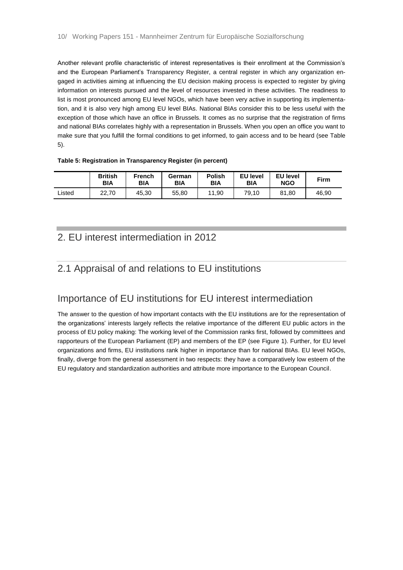Another relevant profile characteristic of interest representatives is their enrollment at the Commission's and the European Parliament's Transparency Register, a central register in which any organization engaged in activities aiming at influencing the EU decision making process is expected to register by giving information on interests pursued and the level of resources invested in these activities. The readiness to list is most pronounced among EU level NGOs, which have been very active in supporting its implementation, and it is also very high among EU level BIAs. National BIAs consider this to be less useful with the exception of those which have an office in Brussels. It comes as no surprise that the registration of firms and national BIAs correlates highly with a representation in Brussels. When you open an office you want to make sure that you fulfill the formal conditions to get informed, to gain access and to be heard (see [Table](#page-10-2)  [5\)](#page-10-2).

#### <span id="page-10-2"></span>**Table 5: Registration in Transparency Register (in percent)**

|        | <b>British</b><br><b>BIA</b> | <b>French</b><br><b>BIA</b> | German<br><b>BIA</b> | <b>Polish</b><br><b>BIA</b> | <b>EU level</b><br><b>BIA</b> | <b>EU level</b><br><b>NGO</b> | <b>Firm</b> |
|--------|------------------------------|-----------------------------|----------------------|-----------------------------|-------------------------------|-------------------------------|-------------|
| ∟isted | 22.70                        | 45.30                       | 55,80                | 11.90                       | 79.10                         | 81.80                         | 46.90       |

#### <span id="page-10-0"></span>2. EU interest intermediation in 2012

# <span id="page-10-1"></span>2.1 Appraisal of and relations to EU institutions

## Importance of EU institutions for EU interest intermediation

The answer to the question of how important contacts with the EU institutions are for the representation of the organizations' interests largely reflects the relative importance of the different EU public actors in the process of EU policy making: The working level of the Commission ranks first, followed by committees and rapporteurs of the European Parliament (EP) and members of the EP (see [Figure 1\)](#page-11-0). Further, for EU level organizations and firms, EU institutions rank higher in importance than for national BIAs. EU level NGOs, finally, diverge from the general assessment in two respects: they have a comparatively low esteem of the EU regulatory and standardization authorities and attribute more importance to the European Council.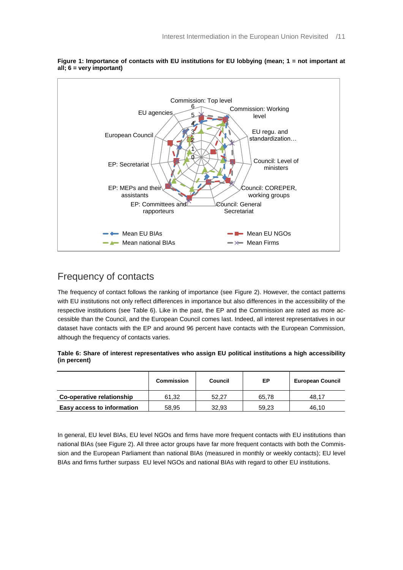

<span id="page-11-0"></span>**Figure 1: Importance of contacts with EU institutions for EU lobbying (mean; 1 = not important at all; 6 = very important)**

# Frequency of contacts

The frequency of contact follows the ranking of importance (see [Figure 2\)](#page-12-0). However, the contact patterns with EU institutions not only reflect differences in importance but also differences in the accessibility of the respective institutions (see [Table 6\)](#page-11-1). Like in the past, the EP and the Commission are rated as more accessible than the Council, and the European Council comes last. Indeed, all interest representatives in our dataset have contacts with the EP and around 96 percent have contacts with the European Commission, although the frequency of contacts varies.

<span id="page-11-1"></span>**Table 6: Share of interest representatives who assign EU political institutions a high accessibility (in percent)**

|                                   | <b>Commission</b> | Council | ЕP    | <b>European Council</b> |  |  |
|-----------------------------------|-------------------|---------|-------|-------------------------|--|--|
| Co-operative relationship         | 61.32             | 52.27   | 65.78 | 48.17                   |  |  |
| <b>Easy access to information</b> | 58.95             | 32.93   | 59.23 | 46.10                   |  |  |

In general, EU level BIAs, EU level NGOs and firms have more frequent contacts with EU institutions than national BIAs (see [Figure 2\)](#page-12-0). All three actor groups have far more frequent contacts with both the Commission and the European Parliament than national BIAs (measured in monthly or weekly contacts); EU level BIAs and firms further surpass EU level NGOs and national BIAs with regard to other EU institutions.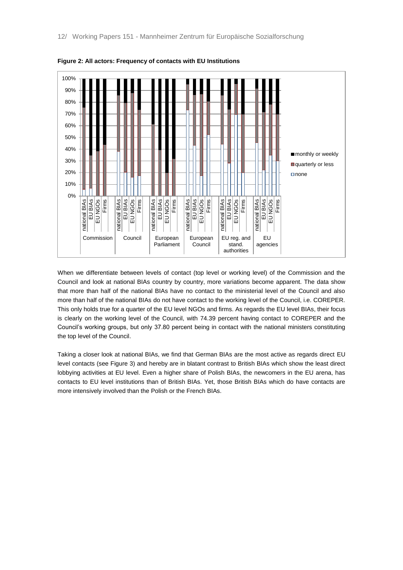

<span id="page-12-0"></span>**Figure 2: All actors: Frequency of contacts with EU Institutions**

When we differentiate between levels of contact (top level or working level) of the Commission and the Council and look at national BIAs country by country, more variations become apparent. The data show that more than half of the national BIAs have no contact to the ministerial level of the Council and also more than half of the national BIAs do not have contact to the working level of the Council, i.e. COREPER. This only holds true for a quarter of the EU level NGOs and firms. As regards the EU level BIAs, their focus is clearly on the working level of the Council, with 74.39 percent having contact to COREPER and the Council's working groups, but only 37.80 percent being in contact with the national ministers constituting the top level of the Council.

Taking a closer look at national BIAs, we find that German BIAs are the most active as regards direct EU level contacts (see [Figure 3\)](#page-13-0) and hereby are in blatant contrast to British BIAs which show the least direct lobbying activities at EU level. Even a higher share of Polish BIAs, the newcomers in the EU arena, has contacts to EU level institutions than of British BIAs. Yet, those British BIAs which do have contacts are more intensively involved than the Polish or the French BIAs.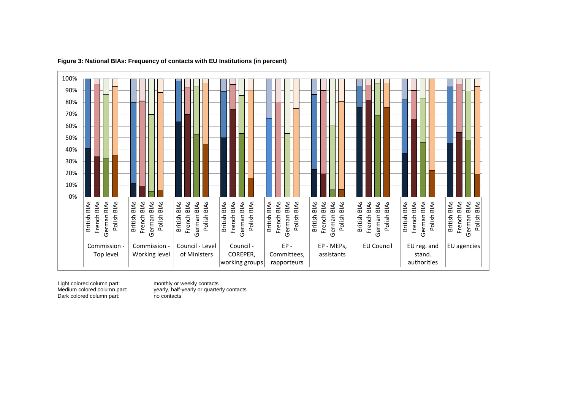

#### **Figure 3: National BIAs: Frequency of contacts with EU Institutions (in percent)**

Dark colored column part: no contacts

<span id="page-13-0"></span>Light colored column part: monthly or weekly contacts<br>
Medium colored column part: yearly, half-yearly or quarter yearly, half-yearly or quarterly contacts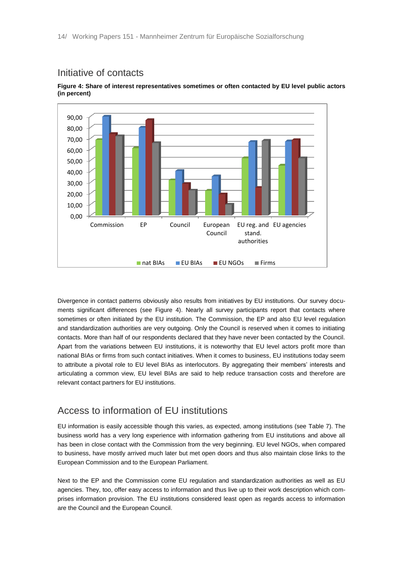#### Initiative of contacts



<span id="page-14-0"></span>**Figure 4: Share of interest representatives sometimes or often contacted by EU level public actors (in percent)**

Divergence in contact patterns obviously also results from initiatives by EU institutions. Our survey documents significant differences (see [Figure 4\)](#page-14-0). Nearly all survey participants report that contacts where sometimes or often initiated by the EU institution. The Commission, the EP and also EU level regulation and standardization authorities are very outgoing. Only the Council is reserved when it comes to initiating contacts. More than half of our respondents declared that they have never been contacted by the Council. Apart from the variations between EU institutions, it is noteworthy that EU level actors profit more than national BIAs or firms from such contact initiatives. When it comes to business, EU institutions today seem to attribute a pivotal role to EU level BIAs as interlocutors. By aggregating their members' interests and articulating a common view, EU level BIAs are said to help reduce transaction costs and therefore are relevant contact partners for EU institutions.

#### Access to information of EU institutions

EU information is easily accessible though this varies, as expected, among institutions (see [Table 7\)](#page-15-1). The business world has a very long experience with information gathering from EU institutions and above all has been in close contact with the Commission from the very beginning. EU level NGOs, when compared to business, have mostly arrived much later but met open doors and thus also maintain close links to the European Commission and to the European Parliament.

Next to the EP and the Commission come EU regulation and standardization authorities as well as EU agencies. They, too, offer easy access to information and thus live up to their work description which comprises information provision. The EU institutions considered least open as regards access to information are the Council and the European Council.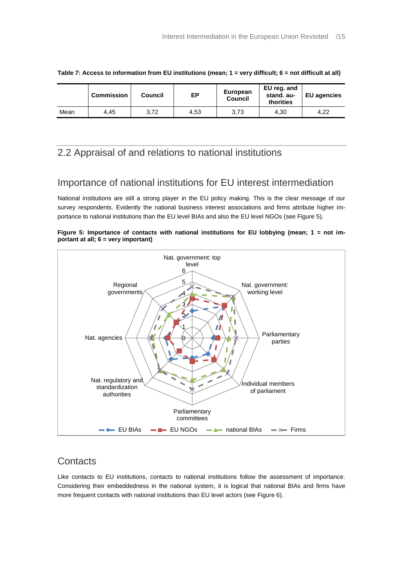|      | <b>Commission</b> | Council | ЕP   | <b>European</b><br>Council | EU reg. and<br>stand. au-<br>thorities | <b>EU</b> agencies |  |
|------|-------------------|---------|------|----------------------------|----------------------------------------|--------------------|--|
| Mean | 4.45              | 3,72    | 4,53 | 3,73                       | 4,30                                   | 4.22               |  |

<span id="page-15-1"></span>**Table 7: Access to information from EU institutions (mean; 1 = very difficult; 6 = not difficult at all)**

#### <span id="page-15-0"></span>2.2 Appraisal of and relations to national institutions

#### Importance of national institutions for EU interest intermediation

National institutions are still a strong player in the EU policy making. This is the clear message of our survey respondents. Evidently the national business interest associations and firms attribute higher importance to national institutions than the EU level BIAs and also the EU level NGOs (see [Figure 5\)](#page-15-2).

<span id="page-15-2"></span>



## **Contacts**

Like contacts to EU institutions, contacts to national institutions follow the assessment of importance. Considering their embeddedness in the national system, it is logical that national BIAs and firms have more frequent contacts with national institutions than EU level actors (see [Figure 6\)](#page-16-0).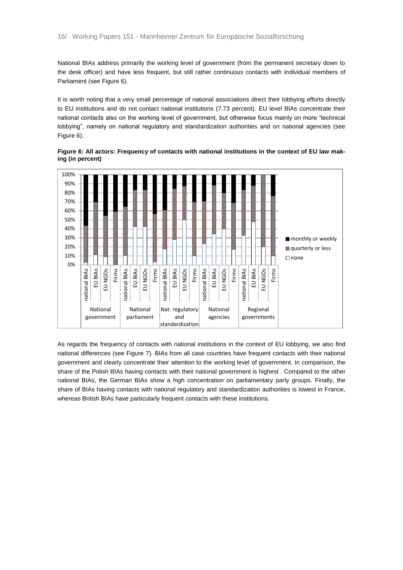National BIAs address primarily the working level of government (from the permanent secretary down to the desk officer) and have less frequent, but still rather continuous contacts with individual members of Parliament (se[e Figure 6\)](#page-16-0).

It is worth noting that a very small percentage of national associations direct their lobbying efforts directly to EU institutions and do not contact national institutions (7.73 percent). EU level BIAs concentrate their national contacts also on the working level of government, but otherwise focus mainly on more "technical lobbying", namely on national regulatory and standardization authorities and on national agencies (see [Figure 6\)](#page-16-0).

<span id="page-16-0"></span>**Figure 6: All actors: Frequency of contacts with national institutions in the context of EU law making (in percent)** 



As regards the frequency of contacts with national institutions in the context of EU lobbying, we also find national differences (see [Figure 7\)](#page-17-0). BIAs from all case countries have frequent contacts with their national government and clearly concentrate their attention to the working level of government. In comparison, the share of the Polish BIAs having contacts with their national government is highest . Compared to the other national BIAs, the German BIAs show a high concentration on parliamentary party groups. Finally, the share of BIAs having contacts with national regulatory and standardization authorities is lowest in France, whereas British BIAs have particularly frequent contacts with these institutions.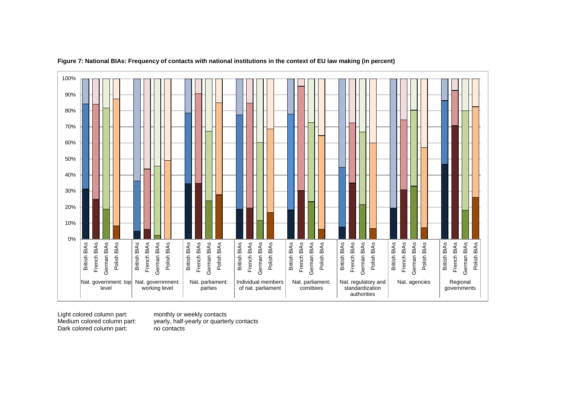

#### **Figure 7: National BIAs: Frequency of contacts with national institutions in the context of EU law making (in percent)**

<span id="page-17-0"></span>Light colored column part: monthly or weekly contacts Dark colored column part: no contacts

yearly, half-yearly or quarterly contacts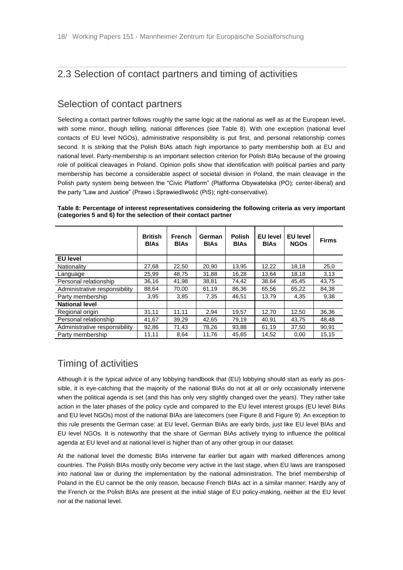# <span id="page-18-0"></span>2.3 Selection of contact partners and timing of activities

#### Selection of contact partners

Selecting a contact partner follows roughly the same logic at the national as well as at the European level, with some minor, though telling, national differences (see [Table 8\)](#page-18-1). With one exception (national level contacts of EU level NGOs), administrative responsibility is put first, and personal relationship comes second. It is striking that the Polish BIAs attach high importance to party membership both at EU and national level. Party-membership is an important selection criterion for Polish BIAs because of the growing role of political cleavages in Poland. Opinion polls show that identification with political parties and party membership has become a considerable aspect of societal division in Poland, the main cleavage in the Polish party system being between the "Civic Platform" (Platforma Obywatelska (PO); center-liberal) and the party "Law and Justice" (Prawo i Sprawiedliwość (PiS); right-conservative).

|                               | <b>British</b><br><b>BIAs</b> | <b>French</b><br><b>BIAs</b> | German<br><b>BIAs</b> | <b>Polish</b><br><b>BIAs</b> | <b>EU level</b><br><b>BIAs</b> | <b>EU level</b><br><b>NGOs</b> | <b>Firms</b> |
|-------------------------------|-------------------------------|------------------------------|-----------------------|------------------------------|--------------------------------|--------------------------------|--------------|
| <b>EU level</b>               |                               |                              |                       |                              |                                |                                |              |
| Nationality                   | 27.68                         | 22.50                        | 20.90                 | 13.95                        | 12,22                          | 18.18                          | 25,0         |
| Language                      | 25,99                         | 48.75                        | 31,88                 | 16,28                        | 13,64                          | 18,18                          | 3,13         |
| Personal relationship         | 36,16                         | 41,98                        | 38,81                 | 74,42                        | 38,64                          | 45,45                          | 43,75        |
| Administrative responsibility | 88,64                         | 70,00                        | 61,19                 | 86,36                        | 65,56                          | 65,22                          | 84,38        |
| Party membership              | 3,95                          | 3,85                         | 7,35                  | 46,51                        | 13,79                          | 4,35                           | 9,38         |
| <b>National level</b>         |                               |                              |                       |                              |                                |                                |              |
| Regional origin               | 31,11                         | 11,11                        | 2,94                  | 19,57                        | 12,70                          | 12,50                          | 36,36        |
| Personal relationship         | 41,67                         | 39.29                        | 42,65                 | 79,19                        | 40.91                          | 43.75                          | 48.48        |
| Administrative responsibility | 92,86                         | 71,43                        | 78,26                 | 93,88                        | 61,19                          | 37,50                          | 90,91        |
| Party membership              | 11,11                         | 8,64                         | 11,76                 | 45,65                        | 14,52                          | 0,00                           | 15,15        |

<span id="page-18-1"></span>**Table 8: Percentage of interest representatives considering the following criteria as very important (categories 5 and 6) for the selection of their contact partner**

## Timing of activities

Although it is the typical advice of any lobbying handbook that (EU) lobbying should start as early as possible, it is eye-catching that the majority of the national BIAs do not at all or only occasionally intervene when the political agenda is set (and this has only very slightly changed over the years). They rather take action in the later phases of the policy cycle and compared to the EU level interest groups (EU level BIAs and EU level NGOs) most of the national BIAs are latecomers (see Figure 8 and Figure 9). An exception to this rule presents the German case: at EU level, German BIAs are early birds, just like EU level BIAs and EU level NGOs. It is noteworthy that the share of German BIAs actively trying to influence the political agenda at EU level and at national level is higher than of any other group in our dataset.

At the national level the domestic BIAs intervene far earlier but again with marked differences among countries. The Polish BIAs mostly only become very active in the last stage, when EU laws are transposed into national law or during the implementation by the national administration. The brief membership of Poland in the EU cannot be the only reason, because French BIAs act in a similar manner: Hardly any of the French or the Polish BIAs are present at the initial stage of EU policy-making, neither at the EU level nor at the national level.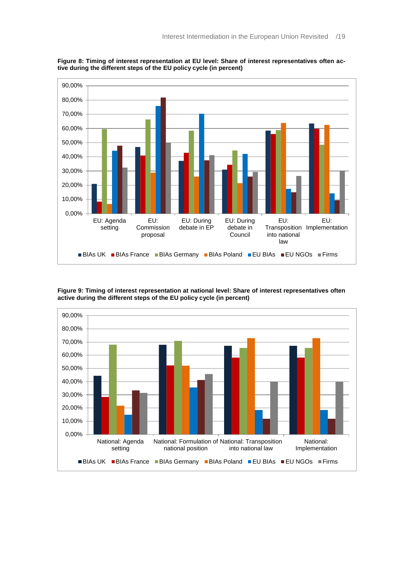

**Figure 8: Timing of interest representation at EU level: Share of interest representatives often active during the different steps of the EU policy cycle (in percent)**

**Figure 9: Timing of interest representation at national level: Share of interest representatives often active during the different steps of the EU policy cycle (in percent)**

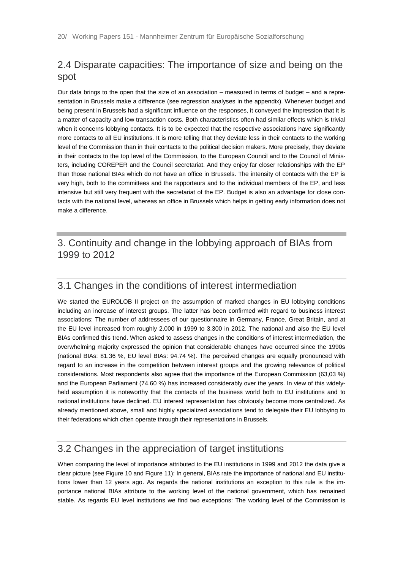## <span id="page-20-0"></span>2.4 Disparate capacities: The importance of size and being on the spot

Our data brings to the open that the size of an association – measured in terms of budget – and a representation in Brussels make a difference (see regression analyses in the appendix). Whenever budget and being present in Brussels had a significant influence on the responses, it conveyed the impression that it is a matter of capacity and low transaction costs. Both characteristics often had similar effects which is trivial when it concerns lobbying contacts. It is to be expected that the respective associations have significantly more contacts to all EU institutions. It is more telling that they deviate less in their contacts to the working level of the Commission than in their contacts to the political decision makers. More precisely, they deviate in their contacts to the top level of the Commission, to the European Council and to the Council of Ministers, including COREPER and the Council secretariat. And they enjoy far closer relationships with the EP than those national BIAs which do not have an office in Brussels. The intensity of contacts with the EP is very high, both to the committees and the rapporteurs and to the individual members of the EP, and less intensive but still very frequent with the secretariat of the EP. Budget is also an advantage for close contacts with the national level, whereas an office in Brussels which helps in getting early information does not make a difference.

# <span id="page-20-1"></span>3. Continuity and change in the lobbying approach of BIAs from 1999 to 2012

#### <span id="page-20-2"></span>3.1 Changes in the conditions of interest intermediation

We started the EUROLOB II project on the assumption of marked changes in EU lobbying conditions including an increase of interest groups. The latter has been confirmed with regard to business interest associations: The number of addressees of our questionnaire in Germany, France, Great Britain, and at the EU level increased from roughly 2.000 in 1999 to 3.300 in 2012. The national and also the EU level BIAs confirmed this trend. When asked to assess changes in the conditions of interest intermediation, the overwhelming majority expressed the opinion that considerable changes have occurred since the 1990s (national BIAs: 81.36 %, EU level BIAs: 94.74 %). The perceived changes are equally pronounced with regard to an increase in the competition between interest groups and the growing relevance of political considerations. Most respondents also agree that the importance of the European Commission (63,03 %) and the European Parliament (74,60 %) has increased considerably over the years. In view of this widelyheld assumption it is noteworthy that the contacts of the business world both to EU institutions and to national institutions have declined. EU interest representation has obviously become more centralized. As already mentioned above, small and highly specialized associations tend to delegate their EU lobbying to their federations which often operate through their representations in Brussels.

#### <span id="page-20-3"></span>3.2 Changes in the appreciation of target institutions

When comparing the level of importance attributed to the EU institutions in 1999 and 2012 the data give a clear picture (see [Figure 10](#page-21-0) an[d Figure 11\)](#page-21-1): In general, BIAs rate the importance of national and EU institutions lower than 12 years ago. As regards the national institutions an exception to this rule is the importance national BIAs attribute to the working level of the national government, which has remained stable. As regards EU level institutions we find two exceptions: The working level of the Commission is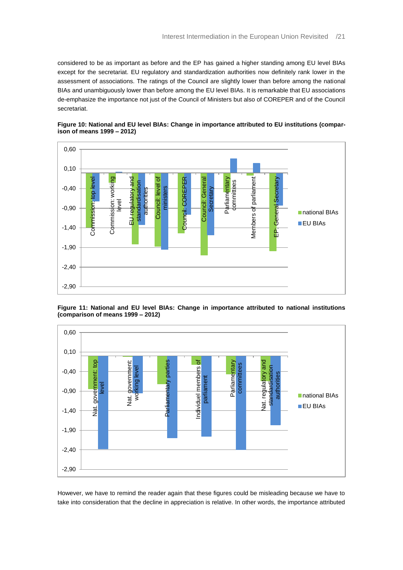considered to be as important as before and the EP has gained a higher standing among EU level BIAs except for the secretariat. EU regulatory and standardization authorities now definitely rank lower in the assessment of associations. The ratings of the Council are slightly lower than before among the national BIAs and unambiguously lower than before among the EU level BIAs. It is remarkable that EU associations de-emphasize the importance not just of the Council of Ministers but also of COREPER and of the Council secretariat.



<span id="page-21-0"></span>**Figure 10: National and EU level BIAs: Change in importance attributed to EU institutions (comparison of means 1999 – 2012)** 



<span id="page-21-1"></span>**Figure 11: National and EU level BIAs: Change in importance attributed to national institutions (comparison of means 1999 – 2012)** 

However, we have to remind the reader again that these figures could be misleading because we have to take into consideration that the decline in appreciation is relative. In other words, the importance attributed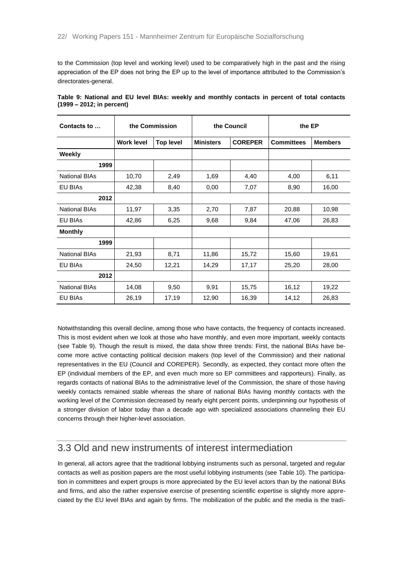to the Commission (top level and working level) used to be comparatively high in the past and the rising appreciation of the EP does not bring the EP up to the level of importance attributed to the Commission's directorates-general.

| Contacts to          |                   | the Commission   |                  | the Council    | the EP            |                |  |
|----------------------|-------------------|------------------|------------------|----------------|-------------------|----------------|--|
|                      | <b>Work level</b> | <b>Top level</b> | <b>Ministers</b> | <b>COREPER</b> | <b>Committees</b> | <b>Members</b> |  |
| Weekly               |                   |                  |                  |                |                   |                |  |
| 1999                 |                   |                  |                  |                |                   |                |  |
| <b>National BIAs</b> | 10,70             | 2,49             | 1,69             | 4,40           | 4,00              | 6,11           |  |
| <b>EU BIAS</b>       | 42,38             | 8,40             | 0,00             | 7,07           | 8,90              | 16,00          |  |
| 2012                 |                   |                  |                  |                |                   |                |  |
| <b>National BIAs</b> | 11,97             | 3,35             | 2,70             | 7,87           | 20,88             | 10,98          |  |
| <b>EU BIAS</b>       | 42,86             | 6,25             | 9,68             | 9,84           | 47,06             | 26,83          |  |
| <b>Monthly</b>       |                   |                  |                  |                |                   |                |  |
| 1999                 |                   |                  |                  |                |                   |                |  |
| <b>National BIAs</b> | 21,93             | 8,71             | 11,86            | 15,72          | 15,60             | 19,61          |  |
| <b>EU BIAS</b>       | 24,50             | 12,21            | 14,29            | 17,17          | 25,20             | 28,00          |  |
| 2012                 |                   |                  |                  |                |                   |                |  |
| <b>National BIAs</b> | 14,08             | 9,50             | 9,91             | 15,75          | 16,12             | 19,22          |  |
| <b>EU BIAS</b>       | 26,19             | 17,19            | 12,90            | 16,39          | 14,12             | 26,83          |  |

<span id="page-22-1"></span>

|  |                           |  |  |  | Table 9: National and EU level BIAs: weekly and monthly contacts in percent of total contacts |  |  |  |
|--|---------------------------|--|--|--|-----------------------------------------------------------------------------------------------|--|--|--|
|  | (1999 – 2012; in percent) |  |  |  |                                                                                               |  |  |  |

Notwithstanding this overall decline, among those who have contacts, the frequency of contacts increased. This is most evident when we look at those who have monthly, and even more important, weekly contacts (see [Table 9\)](#page-22-1). Though the result is mixed, the data show three trends: First, the national BIAs have become more active contacting political decision makers (top level of the Commission) and their national representatives in the EU (Council and COREPER). Secondly, as expected, they contact more often the EP (individual members of the EP, and even much more so EP committees and rapporteurs). Finally, as regards contacts of national BIAs to the administrative level of the Commission, the share of those having weekly contacts remained stable whereas the share of national BIAs having monthly contacts with the working level of the Commission decreased by nearly eight percent points, underpinning our hypothesis of a stronger division of labor today than a decade ago with specialized associations channeling their EU concerns through their higher-level association.

#### <span id="page-22-0"></span>3.3 Old and new instruments of interest intermediation

In general, all actors agree that the traditional lobbying instruments such as personal, targeted and regular contacts as well as position papers are the most useful lobbying instruments (see [Table 10\)](#page-23-1). The participation in committees and expert groups is more appreciated by the EU level actors than by the national BIAs and firms, and also the rather expensive exercise of presenting scientific expertise is slightly more appreciated by the EU level BIAs and again by firms. The mobilization of the public and the media is the tradi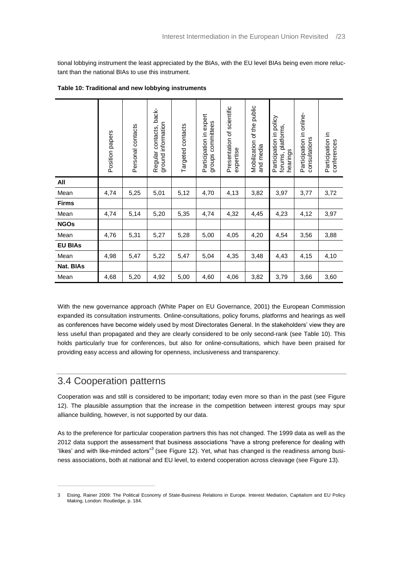tional lobbying instrument the least appreciated by the BIAs, with the EU level BIAs being even more reluctant than the national BIAs to use this instrument.

|                | Position papers | Personal contacts | Regular contacts, back-<br>ground information | Targeted contacts | expert<br>committees<br>Participation in<br>groups | scientific<br>Presentation of<br>expertise | public<br>Mobilization of the<br>and media | Participation in policy<br>forums, platforms<br>hearings | Participation in online-<br>consultations | Participation in<br>conferences |
|----------------|-----------------|-------------------|-----------------------------------------------|-------------------|----------------------------------------------------|--------------------------------------------|--------------------------------------------|----------------------------------------------------------|-------------------------------------------|---------------------------------|
| All            |                 |                   |                                               |                   |                                                    |                                            |                                            |                                                          |                                           |                                 |
| Mean           | 4,74            | 5,25              | 5,01                                          | 5,12              | 4,70                                               | 4,13                                       | 3,82                                       | 3,97                                                     | 3,77                                      | 3,72                            |
| <b>Firms</b>   |                 |                   |                                               |                   |                                                    |                                            |                                            |                                                          |                                           |                                 |
| Mean           | 4,74            | 5,14              | 5,20                                          | 5,35              | 4,74                                               | 4,32                                       | 4,45                                       | 4,23                                                     | 4,12                                      | 3,97                            |
| <b>NGOs</b>    |                 |                   |                                               |                   |                                                    |                                            |                                            |                                                          |                                           |                                 |
| Mean           | 4,76            | 5,31              | 5,27                                          | 5,28              | 5,00                                               | 4,05                                       | 4,20                                       | 4,54                                                     | 3,56                                      | 3,88                            |
| <b>EU BIAs</b> |                 |                   |                                               |                   |                                                    |                                            |                                            |                                                          |                                           |                                 |
| Mean           | 4,98            | 5,47              | 5,22                                          | 5,47              | 5,04                                               | 4,35                                       | 3,48                                       | 4,43                                                     | 4,15                                      | 4,10                            |
| Nat. BIAs      |                 |                   |                                               |                   |                                                    |                                            |                                            |                                                          |                                           |                                 |
| Mean           | 4,68            | 5,20              | 4,92                                          | 5,00              | 4,60                                               | 4,06                                       | 3,82                                       | 3,79                                                     | 3,66                                      | 3,60                            |

#### <span id="page-23-1"></span>**Table 10: Traditional and new lobbying instruments**

With the new governance approach (White Paper on EU Governance, 2001) the European Commission expanded its consultation instruments. Online-consultations, policy forums, platforms and hearings as well as conferences have become widely used by most Directorates General. In the stakeholders' view they are less useful than propagated and they are clearly considered to be only second-rank (see [Table 10\)](#page-23-1). This holds particularly true for conferences, but also for online-consultations, which have been praised for providing easy access and allowing for openness, inclusiveness and transparency.

## <span id="page-23-0"></span>3.4 Cooperation patterns

 $\overline{a}$ 

Cooperation was and still is considered to be important; today even more so than in the past (see [Figure](#page-24-0)  [12\)](#page-24-0). The plausible assumption that the increase in the competition between interest groups may spur alliance building, however, is not supported by our data.

As to the preference for particular cooperation partners this has not changed. The 1999 data as well as the 2012 data support the assessment that business associations "have a strong preference for dealing with 'likes' and with like-minded actors"<sup>3</sup> (see [Figure 12\)](#page-24-0). Yet, what has changed is the readiness among business associations, both at national and EU level, to extend cooperation across cleavage (see [Figure 13\)](#page-24-1).

<sup>3</sup> Eising, Rainer 2009: The Political Economy of State-Business Relations in Europe. Interest Mediation, Capitalism and EU Policy Making, London: Routledge, p. 184.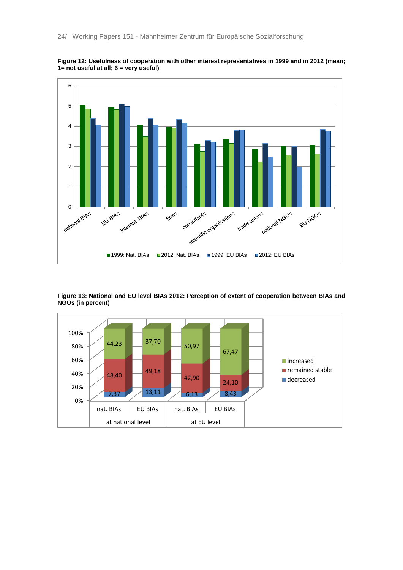

<span id="page-24-0"></span>**Figure 12: Usefulness of cooperation with other interest representatives in 1999 and in 2012 (mean; 1= not useful at all; 6 = very useful)**

<span id="page-24-1"></span>**Figure 13: National and EU level BIAs 2012: Perception of extent of cooperation between BIAs and NGOs (in percent)**

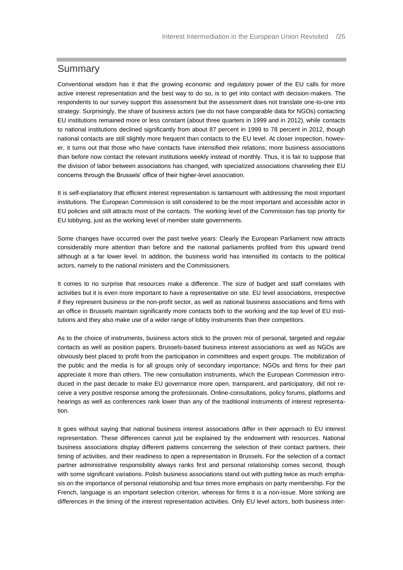#### <span id="page-25-0"></span>Summary

Conventional wisdom has it that the growing economic and regulatory power of the EU calls for more active interest representation and the best way to do so, is to get into contact with decision-makers. The respondents to our survey support this assessment but the assessment does not translate one-to-one into strategy. Surprisingly, the share of business actors (we do not have comparable data for NGOs) contacting EU institutions remained more or less constant (about three quarters in 1999 and in 2012), while contacts to national institutions declined significantly from about 87 percent in 1999 to 78 percent in 2012, though national contacts are still slightly more frequent than contacts to the EU level. At closer inspection, however, it turns out that those who have contacts have intensified their relations; more business associations than before now contact the relevant institutions weekly instead of monthly. Thus, it is fair to suppose that the division of labor between associations has changed, with specialized associations channeling their EU concerns through the Brussels' office of their higher-level association.

It is self-explanatory that efficient interest representation is tantamount with addressing the most important institutions. The European Commission is still considered to be the most important and accessible actor in EU policies and still attracts most of the contacts. The working level of the Commission has top priority for EU lobbying, just as the working level of member state governments.

Some changes have occurred over the past twelve years: Clearly the European Parliament now attracts considerably more attention than before and the national parliaments profited from this upward trend although at a far lower level. In addition, the business world has intensified its contacts to the political actors, namely to the national ministers and the Commissioners.

It comes to no surprise that resources make a difference. The size of budget and staff correlates with activities but it is even more important to have a representative on site. EU level associations, irrespective if they represent business or the non-profit sector, as well as national business associations and firms with an office in Brussels maintain significantly more contacts both to the working and the top level of EU institutions and they also make use of a wider range of lobby instruments than their competitors.

As to the choice of instruments, business actors stick to the proven mix of personal, targeted and regular contacts as well as position papers. Brussels-based business interest associations as well as NGOs are obviously best placed to profit from the participation in committees and expert groups. The mobilization of the public and the media is for all groups only of secondary importance; NGOs and firms for their part appreciate it more than others. The new consultation instruments, which the European Commission introduced in the past decade to make EU governance more open, transparent, and participatory, did not receive a very positive response among the professionals. Online-consultations, policy forums, platforms and hearings as well as conferences rank lower than any of the traditional instruments of interest representation.

It goes without saying that national business interest associations differ in their approach to EU interest representation. These differences cannot just be explained by the endowment with resources. National business associations display different patterns concerning the selection of their contact partners, their timing of activities, and their readiness to open a representation in Brussels. For the selection of a contact partner administrative responsibility always ranks first and personal relationship comes second, though with some significant variations. Polish business associations stand out with putting twice as much emphasis on the importance of personal relationship and four times more emphasis on party membership. For the French, language is an important selection criterion, whereas for firms it is a non-issue. More striking are differences in the timing of the interest representation activities. Only EU level actors, both business inter-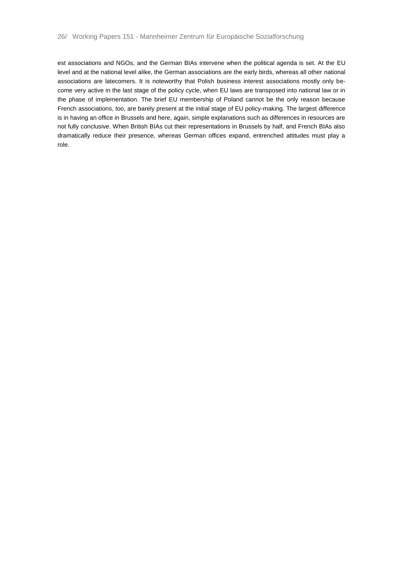est associations and NGOs, and the German BIAs intervene when the political agenda is set. At the EU level and at the national level alike, the German associations are the early birds, whereas all other national associations are latecomers. It is noteworthy that Polish business interest associations mostly only become very active in the last stage of the policy cycle, when EU laws are transposed into national law or in the phase of implementation. The brief EU membership of Poland cannot be the only reason because French associations, too, are barely present at the initial stage of EU policy-making. The largest difference is in having an office in Brussels and here, again, simple explanations such as differences in resources are not fully conclusive. When British BIAs cut their representations in Brussels by half, and French BIAs also dramatically reduce their presence, whereas German offices expand, entrenched attitudes must play a role.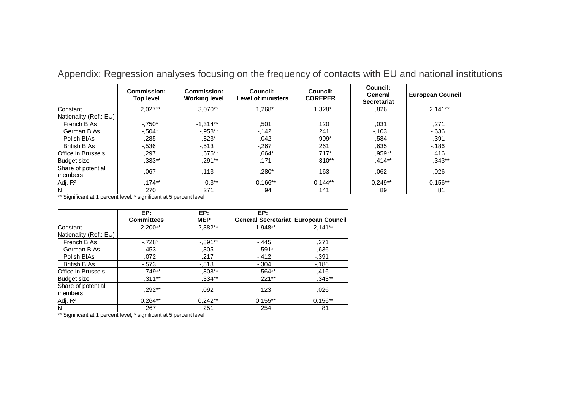|                               | <b>Commission:</b><br><b>Top level</b> | <b>Commission:</b><br><b>Working level</b> | Council:<br><b>Level of ministers</b> | Council:<br><b>COREPER</b> | Council:<br>General<br><b>Secretariat</b> | <b>European Council</b> |
|-------------------------------|----------------------------------------|--------------------------------------------|---------------------------------------|----------------------------|-------------------------------------------|-------------------------|
| Constant                      | $2,027**$                              | $3.070**$                                  | $1.268*$                              | $1.328*$                   | .826                                      | $2,141**$               |
| Nationality (Ref.: EU)        |                                        |                                            |                                       |                            |                                           |                         |
| French BIAs                   | $-.750*$                               | $-1.314**$                                 | .501                                  | .120                       | .031                                      | ,271                    |
| German BIAs                   | $-.504*$                               | $-0.958**$                                 | $-142$                                | ,241                       | $-103$                                    | $-0.636$                |
| Polish BIAs                   | $-0.285$                               | $-0.823*$                                  | .042                                  | $,909*$                    | .584                                      | $-0.391$                |
| <b>British BIAs</b>           | $-536$                                 | $-0.513$                                   | $-0.267$                              | .261                       | .635                                      | $-186$                  |
| Office in Brussels            | .297                                   | ,675**                                     | .664*                                 | $.717*$                    | ,959**                                    | .416                    |
| <b>Budget size</b>            | $.333**$                               | .291**                                     | .171                                  | $,310**$                   | $.414***$                                 | $,343**$                |
| Share of potential<br>members | ,067                                   | .113                                       | ,280*                                 | .163                       | .062                                      | .026                    |
| Adj. R <sup>2</sup>           | $.174***$                              | $0.3**$                                    | $0.166**$                             | $0.144**$                  | $0.249**$                                 | $0,156**$               |
| N                             | 270                                    | 271                                        | 94                                    | 141                        | 89                                        | 81                      |

Appendix: Regression analyses focusing on the frequency of contacts with EU and national institutions

\*\* Significant at 1 percent level; \* significant at 5 percent level

<span id="page-27-0"></span>

|                               | EP:               | EP:        | EP:                                  |           |
|-------------------------------|-------------------|------------|--------------------------------------|-----------|
|                               | <b>Committees</b> | <b>MEP</b> | General Secretariat European Council |           |
| Constant                      | 2,200**           | 2,382**    | 1.948**                              | $2,141**$ |
| Nationality (Ref.: EU)        |                   |            |                                      |           |
| French BIAs                   | $-728*$           | $-0.891**$ | $-0.445$                             | ,271      |
| German BIAs                   | $-0.453$          | $-0.305$   | $-.591*$                             | $-0.636$  |
| Polish BIAs                   | ,072              | ,217       | $-412$                               | $-0.391$  |
| <b>British BIAs</b>           | $-0.573$          | $-0.518$   | $-0.304$                             | $-186$    |
| Office in Brussels            | ,749**            | ,808**     | .564**                               | ,416      |
| Budget size                   | $,311***$         | $,334**$   | ,221**                               | $,343**$  |
| Share of potential<br>members | $.292**$          | .092       | .123                                 | ,026      |
| Adj. R <sup>2</sup>           | $0,264**$         | $0,242**$  | $0,155**$                            | $0,156**$ |
| N                             | 267               | 251        | 254                                  | 81        |

\*\* Significant at 1 percent level; \* significant at 5 percent level